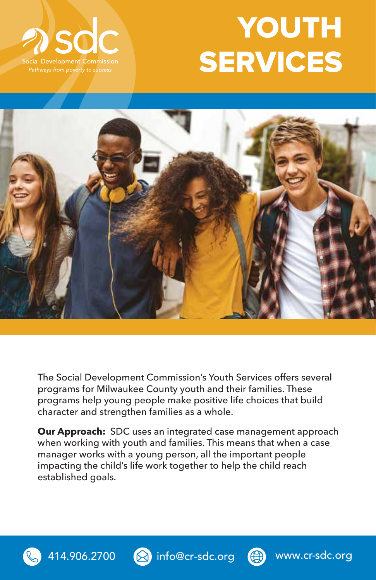

## **YOUTH SERVICES**



The Social Development Commission's Youth Services offers several programs for Milwaukee County youth and their families. These programs help young people make positive life choices that build character and strengthen families as a whole.

**Our Approach:** SDC uses an integrated case management approach when working with youth and families. This means that when a case manager works with a young person, all the important people impacting the child's life work together to help the child reach established goals.